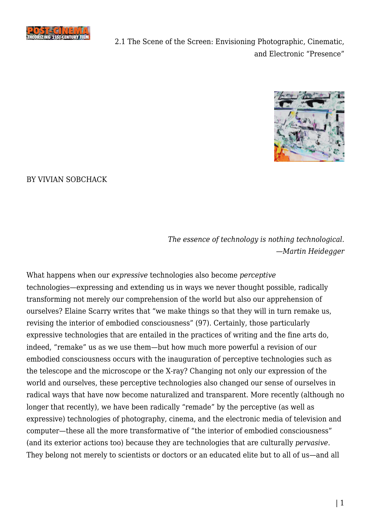



BY VIVIAN SOBCHACK

*The essence of technology is nothing technological. —Martin Heidegger*

What happens when our *expressive* technologies also become *perceptive* technologies—expressing and extending us in ways we never thought possible, radically transforming not merely our comprehension of the world but also our apprehension of ourselves? Elaine Scarry writes that "we make things so that they will in turn remake us, revising the interior of embodied consciousness" (97). Certainly, those particularly expressive technologies that are entailed in the practices of writing and the fine arts do, indeed, "remake" us as we use them—but how much more powerful a revision of our embodied consciousness occurs with the inauguration of perceptive technologies such as the telescope and the microscope or the X-ray? Changing not only our expression of the world and ourselves, these perceptive technologies also changed our sense of ourselves in radical ways that have now become naturalized and transparent. More recently (although no longer that recently), we have been radically "remade" by the perceptive (as well as expressive) technologies of photography, cinema, and the electronic media of television and computer—these all the more transformative of "the interior of embodied consciousness" (and its exterior actions too) because they are technologies that are culturally *pervasive*. They belong not merely to scientists or doctors or an educated elite but to all of us—and all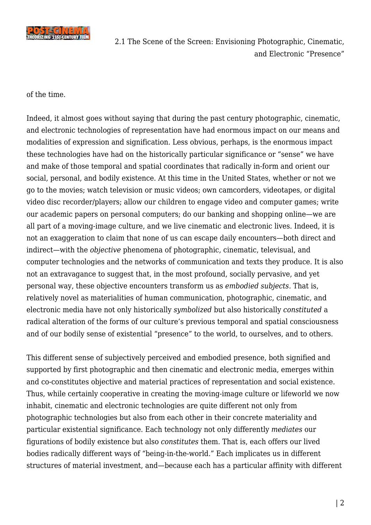

of the time.

Indeed, it almost goes without saying that during the past century photographic, cinematic, and electronic technologies of representation have had enormous impact on our means and modalities of expression and signification. Less obvious, perhaps, is the enormous impact these technologies have had on the historically particular significance or "sense" we have and make of those temporal and spatial coordinates that radically in-form and orient our social, personal, and bodily existence. At this time in the United States, whether or not we go to the movies; watch television or music videos; own camcorders, videotapes, or digital video disc recorder/players; allow our children to engage video and computer games; write our academic papers on personal computers; do our banking and shopping online—we are all part of a moving-image culture, and we live cinematic and electronic lives. Indeed, it is not an exaggeration to claim that none of us can escape daily encounters—both direct and indirect—with the *objective* phenomena of photographic, cinematic, televisual, and computer technologies and the networks of communication and texts they produce. It is also not an extravagance to suggest that, in the most profound, socially pervasive, and yet personal way, these objective encounters transform us as *embodied subjects*. That is, relatively novel as materialities of human communication, photographic, cinematic, and electronic media have not only historically *symbolized* but also historically *constituted* a radical alteration of the forms of our culture's previous temporal and spatial consciousness and of our bodily sense of existential "presence" to the world, to ourselves, and to others.

This different sense of subjectively perceived and embodied presence, both signified and supported by first photographic and then cinematic and electronic media, emerges within and co-constitutes objective and material practices of representation and social existence. Thus, while certainly cooperative in creating the moving-image culture or lifeworld we now inhabit, cinematic and electronic technologies are quite different not only from photographic technologies but also from each other in their concrete materiality and particular existential significance. Each technology not only differently *mediates* our figurations of bodily existence but also *constitutes* them. That is, each offers our lived bodies radically different ways of "being-in-the-world." Each implicates us in different structures of material investment, and—because each has a particular affinity with different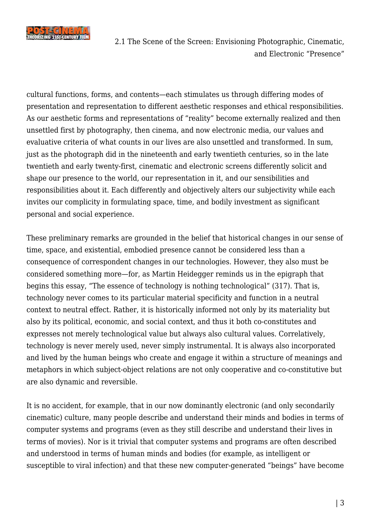

cultural functions, forms, and contents—each stimulates us through differing modes of presentation and representation to different aesthetic responses and ethical responsibilities. As our aesthetic forms and representations of "reality" become externally realized and then unsettled first by photography, then cinema, and now electronic media, our values and evaluative criteria of what counts in our lives are also unsettled and transformed. In sum, just as the photograph did in the nineteenth and early twentieth centuries, so in the late twentieth and early twenty-first, cinematic and electronic screens differently solicit and shape our presence to the world, our representation in it, and our sensibilities and responsibilities about it. Each differently and objectively alters our subjectivity while each invites our complicity in formulating space, time, and bodily investment as significant personal and social experience.

These preliminary remarks are grounded in the belief that historical changes in our sense of time, space, and existential, embodied presence cannot be considered less than a consequence of correspondent changes in our technologies. However, they also must be considered something more—for, as Martin Heidegger reminds us in the epigraph that begins this essay, "The essence of technology is nothing technological" (317). That is, technology never comes to its particular material specificity and function in a neutral context to neutral effect. Rather, it is historically informed not only by its materiality but also by its political, economic, and social context, and thus it both co-constitutes and expresses not merely technological value but always also cultural values. Correlatively, technology is never merely used, never simply instrumental. It is always also incorporated and lived by the human beings who create and engage it within a structure of meanings and metaphors in which subject-object relations are not only cooperative and co-constitutive but are also dynamic and reversible.

It is no accident, for example, that in our now dominantly electronic (and only secondarily cinematic) culture, many people describe and understand their minds and bodies in terms of computer systems and programs (even as they still describe and understand their lives in terms of movies). Nor is it trivial that computer systems and programs are often described and understood in terms of human minds and bodies (for example, as intelligent or susceptible to viral infection) and that these new computer-generated "beings" have become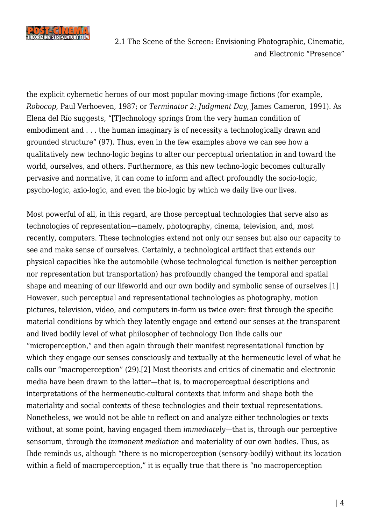

the explicit cybernetic heroes of our most popular moving-image fictions (for example, *Robocop*, Paul Verhoeven, 1987; or *Terminator 2: Judgment Day*, James Cameron, 1991). As Elena del Río suggests, "[T]echnology springs from the very human condition of embodiment and . . . the human imaginary is of necessity a technologically drawn and grounded structure" (97). Thus, even in the few examples above we can see how a qualitatively new techno-logic begins to alter our perceptual orientation in and toward the world, ourselves, and others. Furthermore, as this new techno-logic becomes culturally pervasive and normative, it can come to inform and affect profoundly the socio-logic, psycho-logic, axio-logic, and even the bio-logic by which we daily live our lives.

<span id="page-3-1"></span><span id="page-3-0"></span>Most powerful of all, in this regard, are those perceptual technologies that serve also as technologies of representation—namely, photography, cinema, television, and, most recently, computers. These technologies extend not only our senses but also our capacity to see and make sense of ourselves. Certainly, a technological artifact that extends our physical capacities like the automobile (whose technological function is neither perception nor representation but transportation) has profoundly changed the temporal and spatial shape and meaning of our lifeworld and our own bodily and symbolic sense of ourselves[.\[1\]](#page-30-0) However, such perceptual and representational technologies as photography, motion pictures, television, video, and computers in-form us twice over: first through the specific material conditions by which they latently engage and extend our senses at the transparent and lived bodily level of what philosopher of technology Don Ihde calls our "microperception," and then again through their manifest representational function by which they engage our senses consciously and textually at the hermeneutic level of what he calls our "macroperception" (29)[.\[2\]](#page-30-1) Most theorists and critics of cinematic and electronic media have been drawn to the latter—that is, to macroperceptual descriptions and interpretations of the hermeneutic-cultural contexts that inform and shape both the materiality and social contexts of these technologies and their textual representations. Nonetheless, we would not be able to reflect on and analyze either technologies or texts without, at some point, having engaged them *immediately*—that is, through our perceptive sensorium, through the *immanent mediation* and materiality of our own bodies. Thus, as Ihde reminds us, although "there is no microperception (sensory-bodily) without its location within a field of macroperception," it is equally true that there is "no macroperception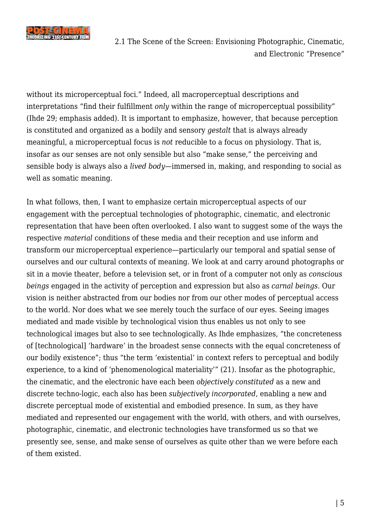

without its microperceptual foci." Indeed, all macroperceptual descriptions and interpretations "find their fulfillment *only* within the range of microperceptual possibility" (Ihde 29; emphasis added). It is important to emphasize, however, that because perception is constituted and organized as a bodily and sensory *gestalt* that is always already meaningful, a microperceptual focus is *not* reducible to a focus on physiology. That is, insofar as our senses are not only sensible but also "make sense," the perceiving and sensible body is always also a *lived body*—immersed in, making, and responding to social as well as somatic meaning.

In what follows, then, I want to emphasize certain microperceptual aspects of our engagement with the perceptual technologies of photographic, cinematic, and electronic representation that have been often overlooked. I also want to suggest some of the ways the respective *material* conditions of these media and their reception and use inform and transform our microperceptual experience—particularly our temporal and spatial sense of ourselves and our cultural contexts of meaning. We look at and carry around photographs or sit in a movie theater, before a television set, or in front of a computer not only as *conscious beings* engaged in the activity of perception and expression but also as *carnal beings*. Our vision is neither abstracted from our bodies nor from our other modes of perceptual access to the world. Nor does what we see merely touch the surface of our eyes. Seeing images mediated and made visible by technological vision thus enables us not only to see technological images but also to see technologically. As Ihde emphasizes, "the concreteness of [technological] 'hardware' in the broadest sense connects with the equal concreteness of our bodily existence"; thus "the term 'existential' in context refers to perceptual and bodily experience, to a kind of 'phenomenological materiality'" (21). Insofar as the photographic, the cinematic, and the electronic have each been *objectively constituted* as a new and discrete techno-logic, each also has been *subjectively incorporated*, enabling a new and discrete perceptual mode of existential and embodied presence. In sum, as they have mediated and represented our engagement with the world, with others, and with ourselves, photographic, cinematic, and electronic technologies have transformed us so that we presently see, sense, and make sense of ourselves as quite other than we were before each of them existed.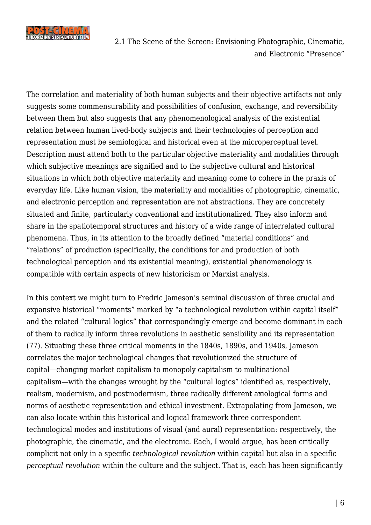

The correlation and materiality of both human subjects and their objective artifacts not only suggests some commensurability and possibilities of confusion, exchange, and reversibility between them but also suggests that any phenomenological analysis of the existential relation between human lived-body subjects and their technologies of perception and representation must be semiological and historical even at the microperceptual level. Description must attend both to the particular objective materiality and modalities through which subjective meanings are signified and to the subjective cultural and historical situations in which both objective materiality and meaning come to cohere in the praxis of everyday life. Like human vision, the materiality and modalities of photographic, cinematic, and electronic perception and representation are not abstractions. They are concretely situated and finite, particularly conventional and institutionalized. They also inform and share in the spatiotemporal structures and history of a wide range of interrelated cultural phenomena. Thus, in its attention to the broadly defined "material conditions" and "relations" of production (specifically, the conditions for and production of both technological perception and its existential meaning), existential phenomenology is compatible with certain aspects of new historicism or Marxist analysis.

In this context we might turn to Fredric Jameson's seminal discussion of three crucial and expansive historical "moments" marked by "a technological revolution within capital itself" and the related "cultural logics" that correspondingly emerge and become dominant in each of them to radically inform three revolutions in aesthetic sensibility and its representation (77). Situating these three critical moments in the 1840s, 1890s, and 1940s, Jameson correlates the major technological changes that revolutionized the structure of capital—changing market capitalism to monopoly capitalism to multinational capitalism—with the changes wrought by the "cultural logics" identified as, respectively, realism, modernism, and postmodernism, three radically different axiological forms and norms of aesthetic representation and ethical investment. Extrapolating from Jameson, we can also locate within this historical and logical framework three correspondent technological modes and institutions of visual (and aural) representation: respectively, the photographic, the cinematic, and the electronic. Each, I would argue, has been critically complicit not only in a specific *technological revolution* within capital but also in a specific *perceptual revolution* within the culture and the subject. That is, each has been significantly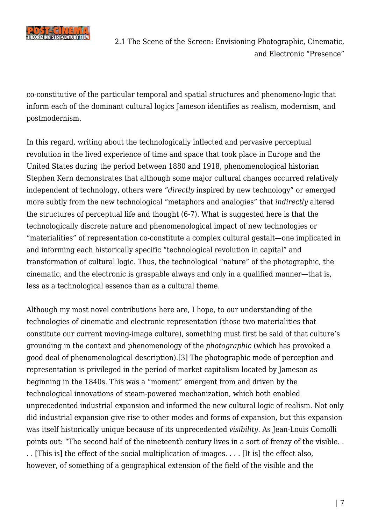

co-constitutive of the particular temporal and spatial structures and phenomeno-logic that inform each of the dominant cultural logics Jameson identifies as realism, modernism, and postmodernism.

In this regard, writing about the technologically inflected and pervasive perceptual revolution in the lived experience of time and space that took place in Europe and the United States during the period between 1880 and 1918, phenomenological historian Stephen Kern demonstrates that although some major cultural changes occurred relatively independent of technology, others were "*directly* inspired by new technology" or emerged more subtly from the new technological "metaphors and analogies" that *indirectly* altered the structures of perceptual life and thought (6-7). What is suggested here is that the technologically discrete nature and phenomenological impact of new technologies or "materialities" of representation co-constitute a complex cultural gestalt—one implicated in and informing each historically specific "technological revolution in capital" and transformation of cultural logic. Thus, the technological "nature" of the photographic, the cinematic, and the electronic is graspable always and only in a qualified manner—that is, less as a technological essence than as a cultural theme.

<span id="page-6-0"></span>Although my most novel contributions here are, I hope, to our understanding of the technologies of cinematic and electronic representation (those two materialities that constitute our current moving-image culture), something must first be said of that culture's grounding in the context and phenomenology of the *photographic* (which has provoked a good deal of phenomenological description)[.\[3\]](#page-30-2) The photographic mode of perception and representation is privileged in the period of market capitalism located by Jameson as beginning in the 1840s. This was a "moment" emergent from and driven by the technological innovations of steam-powered mechanization, which both enabled unprecedented industrial expansion and informed the new cultural logic of realism. Not only did industrial expansion give rise to other modes and forms of expansion, but this expansion was itself historically unique because of its unprecedented *visibility*. As Jean-Louis Comolli points out: "The second half of the nineteenth century lives in a sort of frenzy of the visible. . . . [This is] the effect of the social multiplication of images. . . . [It is] the effect also, however, of something of a geographical extension of the field of the visible and the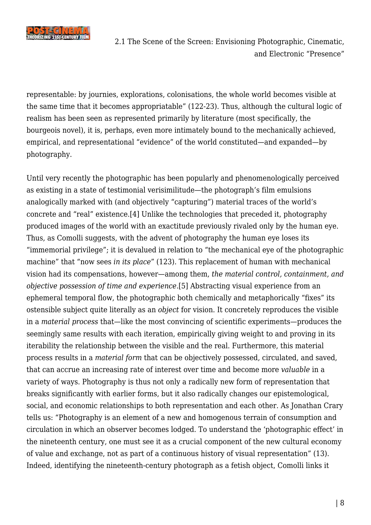

representable: by journies, explorations, colonisations, the whole world becomes visible at the same time that it becomes appropriatable" (122-23). Thus, although the cultural logic of realism has been seen as represented primarily by literature (most specifically, the bourgeois novel), it is, perhaps, even more intimately bound to the mechanically achieved, empirical, and representational "evidence" of the world constituted—and expanded—by photography.

<span id="page-7-1"></span><span id="page-7-0"></span>Until very recently the photographic has been popularly and phenomenologically perceived as existing in a state of testimonial verisimilitude—the photograph's film emulsions analogically marked with (and objectively "capturing") material traces of the world's concrete and "real" existence[.\[4\]](#page-30-3) Unlike the technologies that preceded it, photography produced images of the world with an exactitude previously rivaled only by the human eye. Thus, as Comolli suggests, with the advent of photography the human eye loses its "immemorial privilege"; it is devalued in relation to "the mechanical eye of the photographic machine" that "now sees *in its place*" (123). This replacement of human with mechanical vision had its compensations, however—among them, *the material control, containment, and objective possession of time and experience*.[\[5\]](#page-31-0) Abstracting visual experience from an ephemeral temporal flow, the photographic both chemically and metaphorically "fixes" its ostensible subject quite literally as an *object* for vision. It concretely reproduces the visible in a *material process* that—like the most convincing of scientific experiments—produces the seemingly same results with each iteration, empirically giving weight to and proving in its iterability the relationship between the visible and the real. Furthermore, this material process results in a *material form* that can be objectively possessed, circulated, and saved, that can accrue an increasing rate of interest over time and become more *valuable* in a variety of ways. Photography is thus not only a radically new form of representation that breaks significantly with earlier forms, but it also radically changes our epistemological, social, and economic relationships to both representation and each other. As Jonathan Crary tells us: "Photography is an element of a new and homogenous terrain of consumption and circulation in which an observer becomes lodged. To understand the 'photographic effect' in the nineteenth century, one must see it as a crucial component of the new cultural economy of value and exchange, not as part of a continuous history of visual representation" (13). Indeed, identifying the nineteenth-century photograph as a fetish object, Comolli links it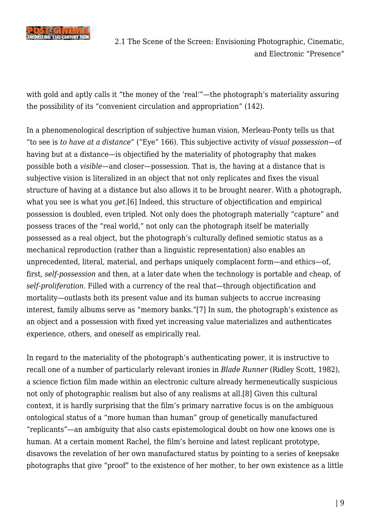

with gold and aptly calls it "the money of the 'real'"—the photograph's materiality assuring the possibility of its "convenient circulation and appropriation" (142).

<span id="page-8-0"></span>In a phenomenological description of subjective human vision, Merleau-Ponty tells us that "to see is *to have at a distance*" ("Eye" 166). This subjective activity of *visual possession*—of having but at a distance—is objectified by the materiality of photography that makes possible both a *visible*—and closer—possession. That is, the having at a distance that is subjective vision is literalized in an object that not only replicates and fixes the visual structure of having at a distance but also allows it to be brought nearer. With a photograph, what you see is what you *get*.[\[6\]](#page-31-1) Indeed, this structure of objectification and empirical possession is doubled, even tripled. Not only does the photograph materially "capture" and possess traces of the "real world," not only can the photograph itself be materially possessed as a real object, but the photograph's culturally defined semiotic status as a mechanical reproduction (rather than a linguistic representation) also enables an unprecedented, literal, material, and perhaps uniquely complacent form—and ethics—of, first, *self-possession* and then, at a later date when the technology is portable and cheap, of *self-proliferation*. Filled with a currency of the real that—through objectification and mortality—outlasts both its present value and its human subjects to accrue increasing interest, family albums serve as "memory banks.["\[7\]](#page-31-2) In sum, the photograph's existence as an object and a possession with fixed yet increasing value materializes and authenticates experience, others, and oneself as empirically real.

<span id="page-8-2"></span><span id="page-8-1"></span>In regard to the materiality of the photograph's authenticating power, it is instructive to recall one of a number of particularly relevant ironies in *Blade Runner* (Ridley Scott, 1982), a science fiction film made within an electronic culture already hermeneutically suspicious not only of photographic realism but also of any realisms at all[.\[8\]](#page-31-3) Given this cultural context, it is hardly surprising that the film's primary narrative focus is on the ambiguous ontological status of a "more human than human" group of genetically manufactured "replicants"—an ambiguity that also casts epistemological doubt on how one knows one is human. At a certain moment Rachel, the film's heroine and latest replicant prototype, disavows the revelation of her own manufactured status by pointing to a series of keepsake photographs that give "proof" to the existence of her mother, to her own existence as a little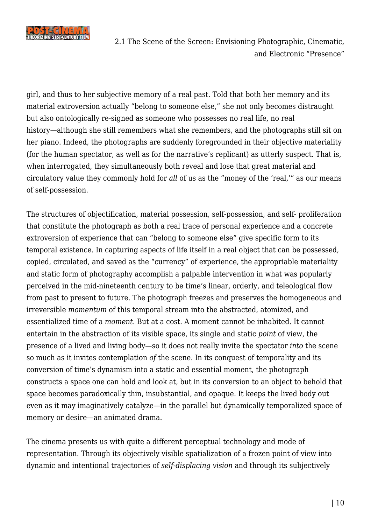

girl, and thus to her subjective memory of a real past. Told that both her memory and its material extroversion actually "belong to someone else," she not only becomes distraught but also ontologically re-signed as someone who possesses no real life, no real history—although she still remembers what she remembers, and the photographs still sit on her piano. Indeed, the photographs are suddenly foregrounded in their objective materiality (for the human spectator, as well as for the narrative's replicant) as utterly suspect. That is, when interrogated, they simultaneously both reveal and lose that great material and circulatory value they commonly hold for *all* of us as the "money of the 'real,'" as our means of self-possession.

The structures of objectification, material possession, self-possession, and self- proliferation that constitute the photograph as both a real trace of personal experience and a concrete extroversion of experience that can "belong to someone else" give specific form to its temporal existence. In capturing aspects of life itself in a real object that can be possessed, copied, circulated, and saved as the "currency" of experience, the appropriable materiality and static form of photography accomplish a palpable intervention in what was popularly perceived in the mid-nineteenth century to be time's linear, orderly, and teleological flow from past to present to future. The photograph freezes and preserves the homogeneous and irreversible *momentum* of this temporal stream into the abstracted, atomized, and essentialized time of a *moment*. But at a cost. A moment cannot be inhabited. It cannot entertain in the abstraction of its visible space, its single and static *point* of view, the presence of a lived and living body—so it does not really invite the spectator *into* the scene so much as it invites contemplation *of* the scene. In its conquest of temporality and its conversion of time's dynamism into a static and essential moment, the photograph constructs a space one can hold and look at, but in its conversion to an object to behold that space becomes paradoxically thin, insubstantial, and opaque. It keeps the lived body out even as it may imaginatively catalyze—in the parallel but dynamically temporalized space of memory or desire—an animated drama.

The cinema presents us with quite a different perceptual technology and mode of representation. Through its objectively visible spatialization of a frozen point of view into dynamic and intentional trajectories of *self-displacing vision* and through its subjectively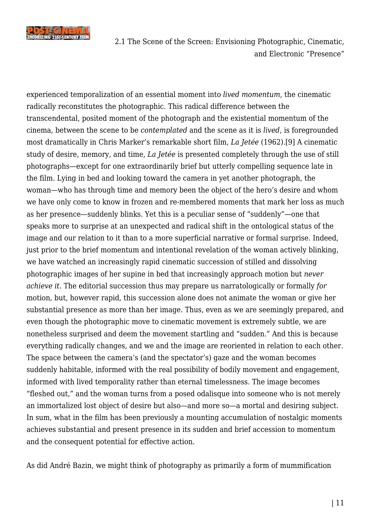

<span id="page-10-0"></span>experienced temporalization of an essential moment into *lived momentum*, the cinematic radically reconstitutes the photographic. This radical difference between the transcendental, posited moment of the photograph and the existential momentum of the cinema, between the scene to be *contemplated* and the scene as it is *lived*, is foregrounded most dramatically in Chris Marker's remarkable short film, *La Jetée* (1962)[.\[9\]](#page-31-4) A cinematic study of desire, memory, and time, *La Jetée* is presented completely through the use of still photographs—except for one extraordinarily brief but utterly compelling sequence late in the film. Lying in bed and looking toward the camera in yet another photograph, the woman—who has through time and memory been the object of the hero's desire and whom we have only come to know in frozen and re-membered moments that mark her loss as much as her presence—suddenly blinks. Yet this is a peculiar sense of "suddenly"—one that speaks more to surprise at an unexpected and radical shift in the ontological status of the image and our relation to it than to a more superficial narrative or formal surprise. Indeed, just prior to the brief momentum and intentional revelation of the woman actively blinking, we have watched an increasingly rapid cinematic succession of stilled and dissolving photographic images of her supine in bed that increasingly approach motion but *never achieve it*. The editorial succession thus may prepare us narratologically or formally *for* motion, but, however rapid, this succession alone does not animate the woman or give her substantial presence as more than her image. Thus, even as we are seemingly prepared, and even though the photographic move to cinematic movement is extremely subtle, we are nonetheless surprised and deem the movement startling and "sudden." And this is because everything radically changes, and we and the image are reoriented in relation to each other. The space between the camera's (and the spectator's) gaze and the woman becomes suddenly habitable, informed with the real possibility of bodily movement and engagement, informed with lived temporality rather than eternal timelessness. The image becomes "fleshed out," and the woman turns from a posed odalisque into someone who is not merely an immortalized lost object of desire but also—and more so—a mortal and desiring subject. In sum, what in the film has been previously a mounting accumulation of nostalgic moments achieves substantial and present presence in its sudden and brief accession to momentum and the consequent potential for effective action.

As did André Bazin, we might think of photography as primarily a form of mummification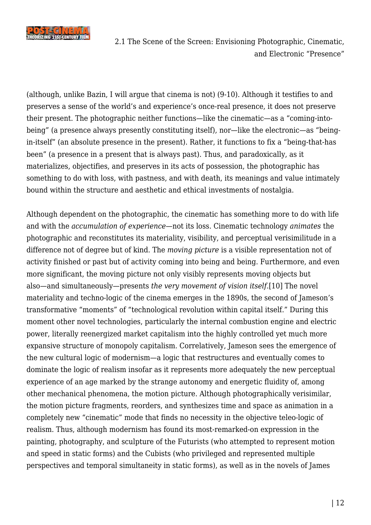

(although, unlike Bazin, I will argue that cinema is not) (9-10). Although it testifies to and preserves a sense of the world's and experience's once-real presence, it does not preserve their present. The photographic neither functions—like the cinematic—as a "coming-intobeing" (a presence always presently constituting itself), nor—like the electronic—as "beingin-itself" (an absolute presence in the present). Rather, it functions to fix a "being-that-has been" (a presence in a present that is always past). Thus, and paradoxically, as it materializes, objectifies, and preserves in its acts of possession, the photographic has something to do with loss, with pastness, and with death, its meanings and value intimately bound within the structure and aesthetic and ethical investments of nostalgia.

<span id="page-11-0"></span>Although dependent on the photographic, the cinematic has something more to do with life and with the *accumulation of experience*—not its loss. Cinematic technology *animates* the photographic and reconstitutes its materiality, visibility, and perceptual verisimilitude in a difference not of degree but of kind. The *moving picture* is a visible representation not of activity finished or past but of activity coming into being and being. Furthermore, and even more significant, the moving picture not only visibly represents moving objects but also—and simultaneously—presents *the very movement of vision itself*.[\[10\]](#page-32-0) The novel materiality and techno-logic of the cinema emerges in the 1890s, the second of Jameson's transformative "moments" of "technological revolution within capital itself." During this moment other novel technologies, particularly the internal combustion engine and electric power, literally reenergized market capitalism into the highly controlled yet much more expansive structure of monopoly capitalism. Correlatively, Jameson sees the emergence of the new cultural logic of modernism—a logic that restructures and eventually comes to dominate the logic of realism insofar as it represents more adequately the new perceptual experience of an age marked by the strange autonomy and energetic fluidity of, among other mechanical phenomena, the motion picture. Although photographically verisimilar, the motion picture fragments, reorders, and synthesizes time and space as animation in a completely new "cinematic" mode that finds no necessity in the objective teleo-logic of realism. Thus, although modernism has found its most-remarked-on expression in the painting, photography, and sculpture of the Futurists (who attempted to represent motion and speed in static forms) and the Cubists (who privileged and represented multiple perspectives and temporal simultaneity in static forms), as well as in the novels of James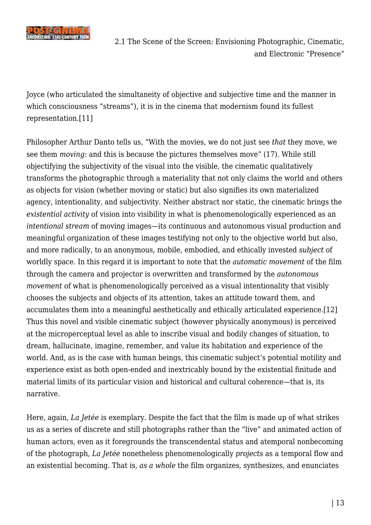

<span id="page-12-0"></span>Joyce (who articulated the simultaneity of objective and subjective time and the manner in which consciousness "streams"), it is in the cinema that modernism found its fullest representation.[\[11\]](#page-32-1)

Philosopher Arthur Danto tells us, "With the movies, we do not just see *that* they move, we see them *moving*: and this is because the pictures themselves move" (17). While still objectifying the subjectivity of the visual into the visible, the cinematic qualitatively transforms the photographic through a materiality that not only claims the world and others as objects for vision (whether moving or static) but also signifies its own materialized agency, intentionality, and subjectivity. Neither abstract nor static, the cinematic brings the *existential activity* of vision into visibility in what is phenomenologically experienced as an *intentional stream* of moving images—its continuous and autonomous visual production and meaningful organization of these images testifying not only to the objective world but also, and more radically, to an anonymous, mobile, embodied, and ethically invested *subject* of worldly space. In this regard it is important to note that the *automatic movement* of the film through the camera and projector is overwritten and transformed by the *autonomous movement* of what is phenomenologically perceived as a visual intentionality that visibly chooses the subjects and objects of its attention, takes an attitude toward them, and accumulates them into a meaningful aesthetically and ethically articulated experience[.\[12\]](#page-32-2) Thus this novel and visible cinematic subject (however physically anonymous) is perceived at the microperceptual level as able to inscribe visual and bodily changes of situation, to dream, hallucinate, imagine, remember, and value its habitation and experience of the world. And, as is the case with human beings, this cinematic subject's potential motility and experience exist as both open-ended and inextricably bound by the existential finitude and material limits of its particular vision and historical and cultural coherence—that is, its narrative.

<span id="page-12-1"></span>Here, again, *La Jetée* is exemplary. Despite the fact that the film is made up of what strikes us as a series of discrete and still photographs rather than the "live" and animated action of human actors, even as it foregrounds the transcendental status and atemporal nonbecoming of the photograph, *La Jetée* nonetheless phenomenologically *projects* as a temporal flow and an existential becoming. That is, *as a whole* the film organizes, synthesizes, and enunciates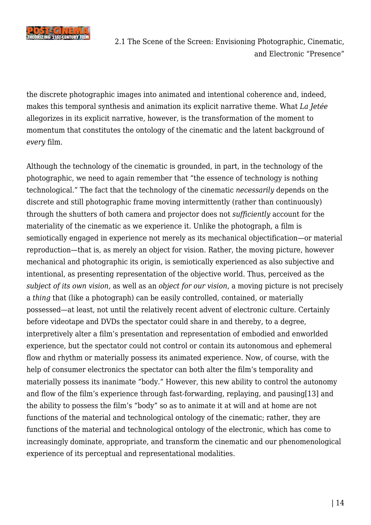

the discrete photographic images into animated and intentional coherence and, indeed, makes this temporal synthesis and animation its explicit narrative theme. What *La Jetée* allegorizes in its explicit narrative, however, is the transformation of the moment to momentum that constitutes the ontology of the cinematic and the latent background of *every* film.

<span id="page-13-0"></span>Although the technology of the cinematic is grounded, in part, in the technology of the photographic, we need to again remember that "the essence of technology is nothing technological." The fact that the technology of the cinematic *necessarily* depends on the discrete and still photographic frame moving intermittently (rather than continuously) through the shutters of both camera and projector does not *sufficiently* account for the materiality of the cinematic as we experience it. Unlike the photograph, a film is semiotically engaged in experience not merely as its mechanical objectification—or material reproduction—that is, as merely an object for vision. Rather, the moving picture, however mechanical and photographic its origin, is semiotically experienced as also subjective and intentional, as presenting representation of the objective world. Thus, perceived as the *subject of its own vision*, as well as an *object for our vision*, a moving picture is not precisely a *thing* that (like a photograph) can be easily controlled, contained, or materially possessed—at least, not until the relatively recent advent of electronic culture. Certainly before videotape and DVDs the spectator could share in and thereby, to a degree, interpretively alter a film's presentation and representation of embodied and enworlded experience, but the spectator could not control or contain its autonomous and ephemeral flow and rhythm or materially possess its animated experience. Now, of course, with the help of consumer electronics the spectator can both alter the film's temporality and materially possess its inanimate "body." However, this new ability to control the autonomy and flow of the film's experience through fast-forwarding, replaying, and pausin[g\[13\]](#page-32-3) and the ability to possess the film's "body" so as to animate it at will and at home are not functions of the material and technological ontology of the cinematic; rather, they are functions of the material and technological ontology of the electronic, which has come to increasingly dominate, appropriate, and transform the cinematic and our phenomenological experience of its perceptual and representational modalities.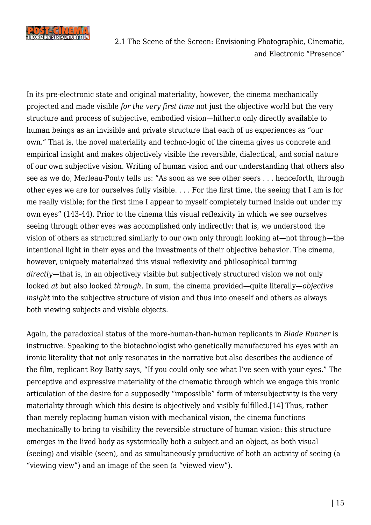

In its pre-electronic state and original materiality, however, the cinema mechanically projected and made visible *for the very first time* not just the objective world but the very structure and process of subjective, embodied vision—hitherto only directly available to human beings as an invisible and private structure that each of us experiences as "our own." That is, the novel materiality and techno-logic of the cinema gives us concrete and empirical insight and makes objectively visible the reversible, dialectical, and social nature of our own subjective vision. Writing of human vision and our understanding that others also see as we do, Merleau-Ponty tells us: "As soon as we see other seers . . . henceforth, through other eyes we are for ourselves fully visible. . . . For the first time, the seeing that I am is for me really visible; for the first time I appear to myself completely turned inside out under my own eyes" (143-44). Prior to the cinema this visual reflexivity in which we see ourselves seeing through other eyes was accomplished only indirectly: that is, we understood the vision of others as structured similarly to our own only through looking at—not through—the intentional light in their eyes and the investments of their objective behavior. The cinema, however, uniquely materialized this visual reflexivity and philosophical turning *directly*—that is, in an objectively visible but subjectively structured vision we not only looked *at* but also looked *through*. In sum, the cinema provided—quite literally—*objective insight* into the subjective structure of vision and thus into oneself and others as always both viewing subjects and visible objects.

<span id="page-14-0"></span>Again, the paradoxical status of the more-human-than-human replicants in *Blade Runner* is instructive. Speaking to the biotechnologist who genetically manufactured his eyes with an ironic literality that not only resonates in the narrative but also describes the audience of the film, replicant Roy Batty says, "If you could only see what I've seen with your eyes." The perceptive and expressive materiality of the cinematic through which we engage this ironic articulation of the desire for a supposedly "impossible" form of intersubjectivity is the very materiality through which this desire is objectively and visibly fulfilled.[\[14\]](#page-32-4) Thus, rather than merely replacing human vision with mechanical vision, the cinema functions mechanically to bring to visibility the reversible structure of human vision: this structure emerges in the lived body as systemically both a subject and an object, as both visual (seeing) and visible (seen), and as simultaneously productive of both an activity of seeing (a "viewing view") and an image of the seen (a "viewed view").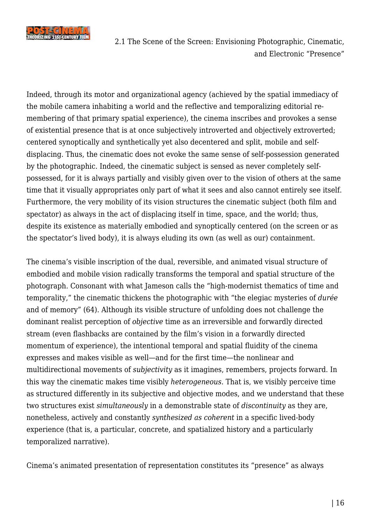

Indeed, through its motor and organizational agency (achieved by the spatial immediacy of the mobile camera inhabiting a world and the reflective and temporalizing editorial remembering of that primary spatial experience), the cinema inscribes and provokes a sense of existential presence that is at once subjectively introverted and objectively extroverted; centered synoptically and synthetically yet also decentered and split, mobile and selfdisplacing. Thus, the cinematic does not evoke the same sense of self-possession generated by the photographic. Indeed, the cinematic subject is sensed as never completely selfpossessed, for it is always partially and visibly given over to the vision of others at the same time that it visually appropriates only part of what it sees and also cannot entirely see itself. Furthermore, the very mobility of its vision structures the cinematic subject (both film and spectator) as always in the act of displacing itself in time, space, and the world; thus, despite its existence as materially embodied and synoptically centered (on the screen or as the spectator's lived body), it is always eluding its own (as well as our) containment.

The cinema's visible inscription of the dual, reversible, and animated visual structure of embodied and mobile vision radically transforms the temporal and spatial structure of the photograph. Consonant with what Jameson calls the "high-modernist thematics of time and temporality," the cinematic thickens the photographic with "the elegiac mysteries of *durée* and of memory" (64). Although its visible structure of unfolding does not challenge the dominant realist perception of *objective* time as an irreversible and forwardly directed stream (even flashbacks are contained by the film's vision in a forwardly directed momentum of experience), the intentional temporal and spatial fluidity of the cinema expresses and makes visible as well—and for the first time—the nonlinear and multidirectional movements of *subjectivity* as it imagines, remembers, projects forward. In this way the cinematic makes time visibly *heterogeneous*. That is, we visibly perceive time as structured differently in its subjective and objective modes, and we understand that these two structures exist *simultaneously* in a demonstrable state of *discontinuity* as they are, nonetheless, actively and constantly *synthesized as coherent* in a specific lived-body experience (that is, a particular, concrete, and spatialized history and a particularly temporalized narrative).

Cinema's animated presentation of representation constitutes its "presence" as always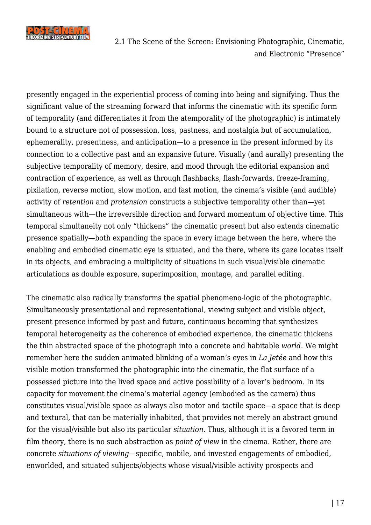

presently engaged in the experiential process of coming into being and signifying. Thus the significant value of the streaming forward that informs the cinematic with its specific form of temporality (and differentiates it from the atemporality of the photographic) is intimately bound to a structure not of possession, loss, pastness, and nostalgia but of accumulation, ephemerality, presentness, and anticipation—to a presence in the present informed by its connection to a collective past and an expansive future. Visually (and aurally) presenting the subjective temporality of memory, desire, and mood through the editorial expansion and contraction of experience, as well as through flashbacks, flash-forwards, freeze-framing, pixilation, reverse motion, slow motion, and fast motion, the cinema's visible (and audible) activity of *retention* and *protension* constructs a subjective temporality other than—yet simultaneous with—the irreversible direction and forward momentum of objective time. This temporal simultaneity not only "thickens" the cinematic present but also extends cinematic presence spatially—both expanding the space in every image between the here, where the enabling and embodied cinematic eye is situated, and the there, where its gaze locates itself in its objects, and embracing a multiplicity of situations in such visual/visible cinematic articulations as double exposure, superimposition, montage, and parallel editing.

The cinematic also radically transforms the spatial phenomeno-logic of the photographic. Simultaneously presentational and representational, viewing subject and visible object, present presence informed by past and future, continuous becoming that synthesizes temporal heterogeneity as the coherence of embodied experience, the cinematic thickens the thin abstracted space of the photograph into a concrete and habitable *world*. We might remember here the sudden animated blinking of a woman's eyes in *La Jetée* and how this visible motion transformed the photographic into the cinematic, the flat surface of a possessed picture into the lived space and active possibility of a lover's bedroom. In its capacity for movement the cinema's material agency (embodied as the camera) thus constitutes visual/visible space as always also motor and tactile space—a space that is deep and textural, that can be materially inhabited, that provides not merely an abstract ground for the visual/visible but also its particular *situation*. Thus, although it is a favored term in film theory, there is no such abstraction as *point of view* in the cinema. Rather, there are concrete *situations of viewing*—specific, mobile, and invested engagements of embodied, enworlded, and situated subjects/objects whose visual/visible activity prospects and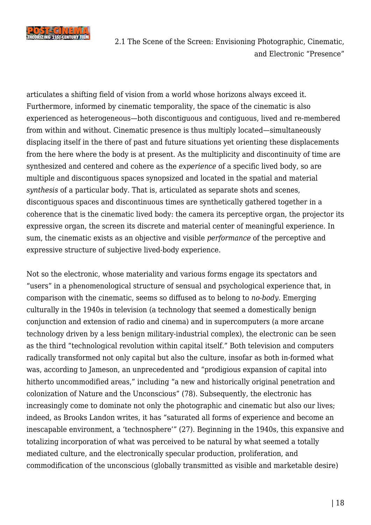

articulates a shifting field of vision from a world whose horizons always exceed it. Furthermore, informed by cinematic temporality, the space of the cinematic is also experienced as heterogeneous—both discontiguous and contiguous, lived and re-membered from within and without. Cinematic presence is thus multiply located—simultaneously displacing itself in the there of past and future situations yet orienting these displacements from the here where the body is at present. As the multiplicity and discontinuity of time are synthesized and centered and cohere as the *experience* of a specific lived body, so are multiple and discontiguous spaces synopsized and located in the spatial and material *synthesis* of a particular body. That is, articulated as separate shots and scenes, discontiguous spaces and discontinuous times are synthetically gathered together in a coherence that is the cinematic lived body: the camera its perceptive organ, the projector its expressive organ, the screen its discrete and material center of meaningful experience. In sum, the cinematic exists as an objective and visible *performance* of the perceptive and expressive structure of subjective lived-body experience.

Not so the electronic, whose materiality and various forms engage its spectators and "users" in a phenomenological structure of sensual and psychological experience that, in comparison with the cinematic, seems so diffused as to belong to *no-body*. Emerging culturally in the 1940s in television (a technology that seemed a domestically benign conjunction and extension of radio and cinema) and in supercomputers (a more arcane technology driven by a less benign military-industrial complex), the electronic can be seen as the third "technological revolution within capital itself." Both television and computers radically transformed not only capital but also the culture, insofar as both in-formed what was, according to Jameson, an unprecedented and "prodigious expansion of capital into hitherto uncommodified areas," including "a new and historically original penetration and colonization of Nature and the Unconscious" (78). Subsequently, the electronic has increasingly come to dominate not only the photographic and cinematic but also our lives; indeed, as Brooks Landon writes, it has "saturated all forms of experience and become an inescapable environment, a 'technosphere'" (27). Beginning in the 1940s, this expansive and totalizing incorporation of what was perceived to be natural by what seemed a totally mediated culture, and the electronically specular production, proliferation, and commodification of the unconscious (globally transmitted as visible and marketable desire)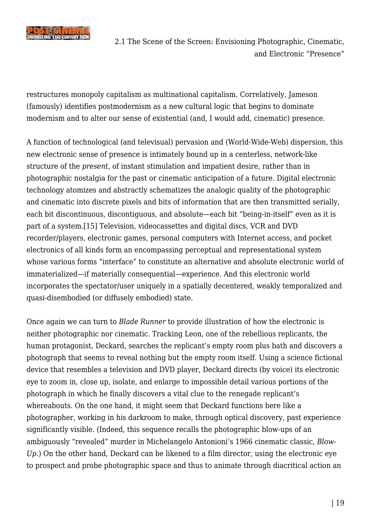

restructures monopoly capitalism as multinational capitalism. Correlatively, Jameson (famously) identifies postmodernism as a new cultural logic that begins to dominate modernism and to alter our sense of existential (and, I would add, cinematic) presence.

<span id="page-18-0"></span>A function of technological (and televisual) pervasion and (World-Wide-Web) dispersion, this new electronic sense of presence is intimately bound up in a centerless, network-like structure of the *present*, of instant stimulation and impatient desire, rather than in photographic nostalgia for the past or cinematic anticipation of a future. Digital electronic technology atomizes and abstractly schematizes the analogic quality of the photographic and cinematic into discrete pixels and bits of information that are then transmitted serially, each bit discontinuous, discontiguous, and absolute—each bit "being-in-itself" even as it is part of a system[.\[15\]](#page-33-0) Television, videocassettes and digital discs, VCR and DVD recorder/players, electronic games, personal computers with Internet access, and pocket electronics of all kinds form an encompassing perceptual and representational system whose various forms "interface" to constitute an alternative and absolute electronic world of immaterialized—if materially consequential—experience. And this electronic world incorporates the spectator/user uniquely in a spatially decentered, weakly temporalized and quasi-disembodied (or diffusely embodied) state.

Once again we can turn to *Blade Runner* to provide illustration of how the electronic is neither photographic nor cinematic. Tracking Leon, one of the rebellious replicants, the human protagonist, Deckard, searches the replicant's empty room plus bath and discovers a photograph that seems to reveal nothing but the empty room itself. Using a science fictional device that resembles a television and DVD player, Deckard directs (by voice) its electronic eye to zoom in, close up, isolate, and enlarge to impossible detail various portions of the photograph in which he finally discovers a vital clue to the renegade replicant's whereabouts. On the one hand, it might seem that Deckard functions here like a photographer, working in his darkroom to make, through optical discovery, past experience significantly visible. (Indeed, this sequence recalls the photographic blow-ups of an ambiguously "revealed" murder in Michelangelo Antonioni's 1966 cinematic classic, *Blow-Up*.) On the other hand, Deckard can be likened to a film director, using the electronic eye to prospect and probe photographic space and thus to animate through diacritical action an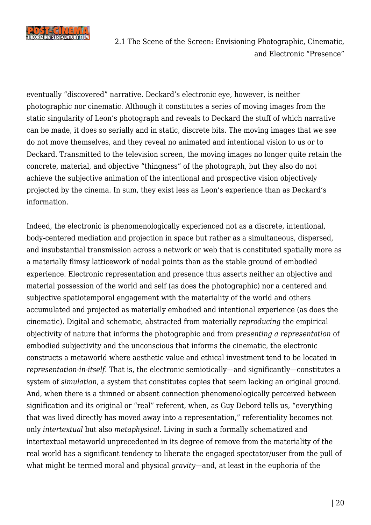

eventually "discovered" narrative. Deckard's electronic eye, however, is neither photographic nor cinematic. Although it constitutes a series of moving images from the static singularity of Leon's photograph and reveals to Deckard the stuff of which narrative can be made, it does so serially and in static, discrete bits. The moving images that we see do not move themselves, and they reveal no animated and intentional vision to us or to Deckard. Transmitted to the television screen, the moving images no longer quite retain the concrete, material, and objective "thingness" of the photograph, but they also do not achieve the subjective animation of the intentional and prospective vision objectively projected by the cinema. In sum, they exist less as Leon's experience than as Deckard's information.

Indeed, the electronic is phenomenologically experienced not as a discrete, intentional, body-centered mediation and projection in space but rather as a simultaneous, dispersed, and insubstantial transmission across a network or web that is constituted spatially more as a materially flimsy latticework of nodal points than as the stable ground of embodied experience. Electronic representation and presence thus asserts neither an objective and material possession of the world and self (as does the photographic) nor a centered and subjective spatiotemporal engagement with the materiality of the world and others accumulated and projected as materially embodied and intentional experience (as does the cinematic). Digital and schematic, abstracted from materially *reproducing* the empirical objectivity of nature that informs the photographic and from *presenting a representation* of embodied subjectivity and the unconscious that informs the cinematic, the electronic constructs a metaworld where aesthetic value and ethical investment tend to be located in *representation-in-itself*. That is, the electronic semiotically—and significantly—constitutes a system of *simulation*, a system that constitutes copies that seem lacking an original ground. And, when there is a thinned or absent connection phenomenologically perceived between signification and its original or "real" referent, when, as Guy Debord tells us, "everything that was lived directly has moved away into a representation," referentiality becomes not only *intertextual* but also *metaphysical*. Living in such a formally schematized and intertextual metaworld unprecedented in its degree of remove from the materiality of the real world has a significant tendency to liberate the engaged spectator/user from the pull of what might be termed moral and physical *gravity*—and, at least in the euphoria of the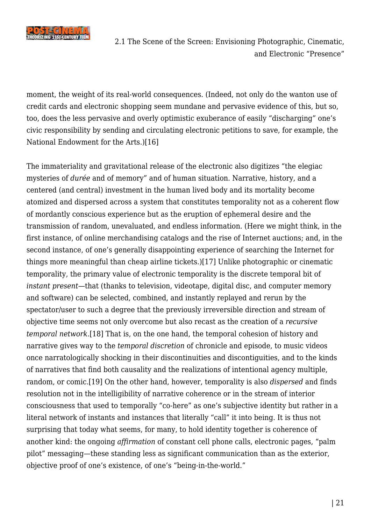

moment, the weight of its real-world consequences. (Indeed, not only do the wanton use of credit cards and electronic shopping seem mundane and pervasive evidence of this, but so, too, does the less pervasive and overly optimistic exuberance of easily "discharging" one's civic responsibility by sending and circulating electronic petitions to save, for example, the National Endowment for the Arts.[\)\[16\]](#page-33-1)

<span id="page-20-3"></span><span id="page-20-2"></span><span id="page-20-1"></span><span id="page-20-0"></span>The immateriality and gravitational release of the electronic also digitizes "the elegiac mysteries of *durée* and of memory" and of human situation. Narrative, history, and a centered (and central) investment in the human lived body and its mortality become atomized and dispersed across a system that constitutes temporality not as a coherent flow of mordantly conscious experience but as the eruption of ephemeral desire and the transmission of random, unevaluated, and endless information. (Here we might think, in the first instance, of online merchandising catalogs and the rise of Internet auctions; and, in the second instance, of one's generally disappointing experience of searching the Internet for things more meaningful than cheap airline tickets.[\)\[17\]](#page-33-2) Unlike photographic or cinematic temporality, the primary value of electronic temporality is the discrete temporal bit of *instant present*—that (thanks to television, videotape, digital disc, and computer memory and software) can be selected, combined, and instantly replayed and rerun by the spectator/user to such a degree that the previously irreversible direction and stream of objective time seems not only overcome but also recast as the creation of a *recursive temporal network*.[\[18\]](#page-33-3) That is, on the one hand, the temporal cohesion of history and narrative gives way to the *temporal discretion* of chronicle and episode, to music videos once narratologically shocking in their discontinuities and discontiguities, and to the kinds of narratives that find both causality and the realizations of intentional agency multiple, random, or comic[.\[19\]](#page-33-4) On the other hand, however, temporality is also *dispersed* and finds resolution not in the intelligibility of narrative coherence or in the stream of interior consciousness that used to temporally "co-here" as one's subjective identity but rather in a literal network of instants and instances that literally "call" it into being. It is thus not surprising that today what seems, for many, to hold identity together is coherence of another kind: the ongoing *affirmation* of constant cell phone calls, electronic pages, "palm pilot" messaging—these standing less as significant communication than as the exterior, objective proof of one's existence, of one's "being-in-the-world."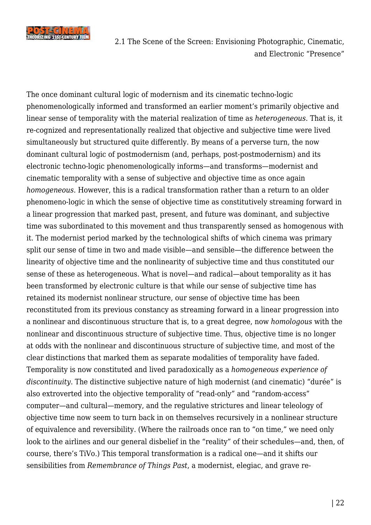

The once dominant cultural logic of modernism and its cinematic techno-logic phenomenologically informed and transformed an earlier moment's primarily objective and linear sense of temporality with the material realization of time as *heterogeneous*. That is, it re-cognized and representationally realized that objective and subjective time were lived simultaneously but structured quite differently. By means of a perverse turn, the now dominant cultural logic of postmodernism (and, perhaps, post-postmodernism) and its electronic techno-logic phenomenologically informs—and transforms—modernist and cinematic temporality with a sense of subjective and objective time as once again *homogeneous*. However, this is a radical transformation rather than a return to an older phenomeno-logic in which the sense of objective time as constitutively streaming forward in a linear progression that marked past, present, and future was dominant, and subjective time was subordinated to this movement and thus transparently sensed as homogenous with it. The modernist period marked by the technological shifts of which cinema was primary split our sense of time in two and made visible—and sensible—the difference between the linearity of objective time and the nonlinearity of subjective time and thus constituted our sense of these as heterogeneous. What is novel—and radical—about temporality as it has been transformed by electronic culture is that while our sense of subjective time has retained its modernist nonlinear structure, our sense of objective time has been reconstituted from its previous constancy as streaming forward in a linear progression into a nonlinear and discontinuous structure that is, to a great degree, now *homologous* with the nonlinear and discontinuous structure of subjective time. Thus, objective time is no longer at odds with the nonlinear and discontinuous structure of subjective time, and most of the clear distinctions that marked them as separate modalities of temporality have faded. Temporality is now constituted and lived paradoxically as a *homogeneous experience of discontinuity*. The distinctive subjective nature of high modernist (and cinematic) "durée" is also extroverted into the objective temporality of "read-only" and "random-access" computer—and cultural—memory, and the regulative strictures and linear teleology of objective time now seem to turn back in on themselves recursively in a nonlinear structure of equivalence and reversibility. (Where the railroads once ran to "on time," we need only look to the airlines and our general disbelief in the "reality" of their schedules—and, then, of course, there's TiVo.) This temporal transformation is a radical one—and it shifts our sensibilities from *Remembrance of Things Past*, a modernist, elegiac, and grave re-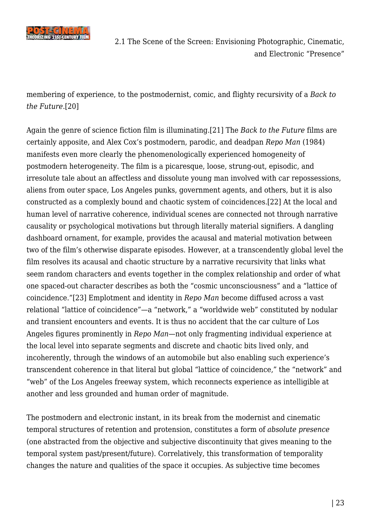

<span id="page-22-0"></span>membering of experience, to the postmodernist, comic, and flighty recursivity of a *Back to the Future*[.\[20\]](#page-34-0)

<span id="page-22-2"></span><span id="page-22-1"></span>Again the genre of science fiction film is illuminating.[\[21\]](#page-34-1) The *Back to the Future* films are certainly apposite, and Alex Cox's postmodern, parodic, and deadpan *Repo Man* (1984) manifests even more clearly the phenomenologically experienced homogeneity of postmodern heterogeneity. The film is a picaresque, loose, strung-out, episodic, and irresolute tale about an affectless and dissolute young man involved with car repossessions, aliens from outer space, Los Angeles punks, government agents, and others, but it is also constructed as a complexly bound and chaotic system of coincidences[.\[22\]](#page-34-2) At the local and human level of narrative coherence, individual scenes are connected not through narrative causality or psychological motivations but through literally material signifiers. A dangling dashboard ornament, for example, provides the acausal and material motivation between two of the film's otherwise disparate episodes. However, at a transcendently global level the film resolves its acausal and chaotic structure by a narrative recursivity that links what seem random characters and events together in the complex relationship and order of what one spaced-out character describes as both the "cosmic unconsciousness" and a "lattice of coincidence."[\[23\]](#page-34-3) Emplotment and identity in *Repo Man* become diffused across a vast relational "lattice of coincidence"—a "network," a "worldwide web" constituted by nodular and transient encounters and events. It is thus no accident that the car culture of Los Angeles figures prominently in *Repo Man*—not only fragmenting individual experience at the local level into separate segments and discrete and chaotic bits lived only, and incoherently, through the windows of an automobile but also enabling such experience's transcendent coherence in that literal but global "lattice of coincidence," the "network" and "web" of the Los Angeles freeway system, which reconnects experience as intelligible at another and less grounded and human order of magnitude.

<span id="page-22-3"></span>The postmodern and electronic instant, in its break from the modernist and cinematic temporal structures of retention and protension, constitutes a form of *absolute presence* (one abstracted from the objective and subjective discontinuity that gives meaning to the temporal system past/present/future). Correlatively, this transformation of temporality changes the nature and qualities of the space it occupies. As subjective time becomes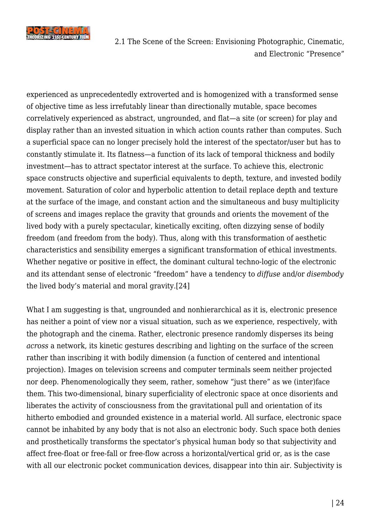

experienced as unprecedentedly extroverted and is homogenized with a transformed sense of objective time as less irrefutably linear than directionally mutable, space becomes correlatively experienced as abstract, ungrounded, and flat—a site (or screen) for play and display rather than an invested situation in which action counts rather than computes. Such a superficial space can no longer precisely hold the interest of the spectator/user but has to constantly stimulate it. Its flatness—a function of its lack of temporal thickness and bodily investment—has to attract spectator interest at the surface. To achieve this, electronic space constructs objective and superficial equivalents to depth, texture, and invested bodily movement. Saturation of color and hyperbolic attention to detail replace depth and texture at the surface of the image, and constant action and the simultaneous and busy multiplicity of screens and images replace the gravity that grounds and orients the movement of the lived body with a purely spectacular, kinetically exciting, often dizzying sense of bodily freedom (and freedom from the body). Thus, along with this transformation of aesthetic characteristics and sensibility emerges a significant transformation of ethical investments. Whether negative or positive in effect, the dominant cultural techno-logic of the electronic and its attendant sense of electronic "freedom" have a tendency to *diffuse* and/or *disembody* the lived body's material and moral gravity[.\[24\]](#page-34-4)

<span id="page-23-0"></span>What I am suggesting is that, ungrounded and nonhierarchical as it is, electronic presence has neither a point of view nor a visual situation, such as we experience, respectively, with the photograph and the cinema. Rather, electronic presence randomly disperses its being *across* a network, its kinetic gestures describing and lighting on the surface of the screen rather than inscribing it with bodily dimension (a function of centered and intentional projection). Images on television screens and computer terminals seem neither projected nor deep. Phenomenologically they seem, rather, somehow "just there" as we (inter)face them. This two-dimensional, binary superficiality of electronic space at once disorients and liberates the activity of consciousness from the gravitational pull and orientation of its hitherto embodied and grounded existence in a material world. All surface, electronic space cannot be inhabited by any body that is not also an electronic body. Such space both denies and prosthetically transforms the spectator's physical human body so that subjectivity and affect free-float or free-fall or free-flow across a horizontal/vertical grid or, as is the case with all our electronic pocket communication devices, disappear into thin air. Subjectivity is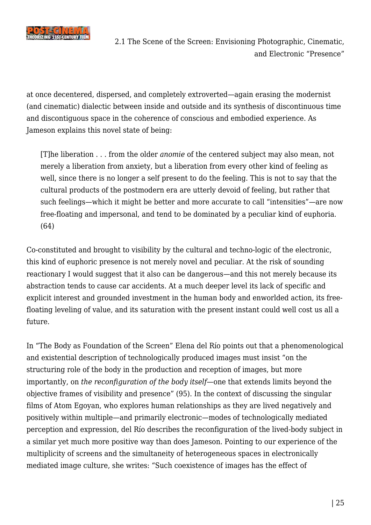

at once decentered, dispersed, and completely extroverted—again erasing the modernist (and cinematic) dialectic between inside and outside and its synthesis of discontinuous time and discontiguous space in the coherence of conscious and embodied experience. As Jameson explains this novel state of being:

[T]he liberation . . . from the older *anomie* of the centered subject may also mean, not merely a liberation from anxiety, but a liberation from every other kind of feeling as well, since there is no longer a self present to do the feeling. This is not to say that the cultural products of the postmodern era are utterly devoid of feeling, but rather that such feelings—which it might be better and more accurate to call "intensities"—are now free-floating and impersonal, and tend to be dominated by a peculiar kind of euphoria. (64)

Co-constituted and brought to visibility by the cultural and techno-logic of the electronic, this kind of euphoric presence is not merely novel and peculiar. At the risk of sounding reactionary I would suggest that it also can be dangerous—and this not merely because its abstraction tends to cause car accidents. At a much deeper level its lack of specific and explicit interest and grounded investment in the human body and enworlded action, its freefloating leveling of value, and its saturation with the present instant could well cost us all a future.

In "The Body as Foundation of the Screen" Elena del Río points out that a phenomenological and existential description of technologically produced images must insist "on the structuring role of the body in the production and reception of images, but more importantly, on *the reconfiguration of the body itself*—one that extends limits beyond the objective frames of visibility and presence" (95). In the context of discussing the singular films of Atom Egoyan, who explores human relationships as they are lived negatively and positively within multiple—and primarily electronic—modes of technologically mediated perception and expression, del Río describes the reconfiguration of the lived-body subject in a similar yet much more positive way than does Jameson. Pointing to our experience of the multiplicity of screens and the simultaneity of heterogeneous spaces in electronically mediated image culture, she writes: "Such coexistence of images has the effect of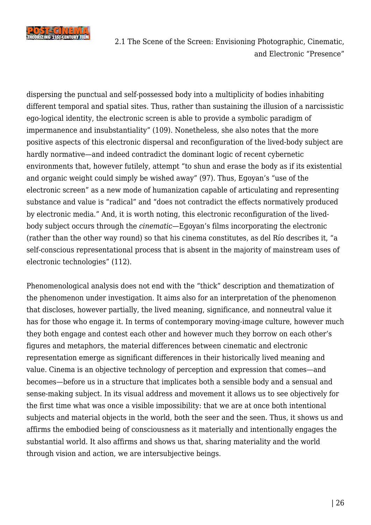

dispersing the punctual and self-possessed body into a multiplicity of bodies inhabiting different temporal and spatial sites. Thus, rather than sustaining the illusion of a narcissistic ego-logical identity, the electronic screen is able to provide a symbolic paradigm of impermanence and insubstantiality" (109). Nonetheless, she also notes that the more positive aspects of this electronic dispersal and reconfiguration of the lived-body subject are hardly normative—and indeed contradict the dominant logic of recent cybernetic environments that, however futilely, attempt "to shun and erase the body as if its existential and organic weight could simply be wished away" (97). Thus, Egoyan's "use of the electronic screen" as a new mode of humanization capable of articulating and representing substance and value is "radical" and "does not contradict the effects normatively produced by electronic media." And, it is worth noting, this electronic reconfiguration of the livedbody subject occurs through the *cinematic*—Egoyan's films incorporating the electronic (rather than the other way round) so that his cinema constitutes, as del Río describes it, "a self-conscious representational process that is absent in the majority of mainstream uses of electronic technologies" (112).

Phenomenological analysis does not end with the "thick" description and thematization of the phenomenon under investigation. It aims also for an interpretation of the phenomenon that discloses, however partially, the lived meaning, significance, and nonneutral value it has for those who engage it. In terms of contemporary moving-image culture, however much they both engage and contest each other and however much they borrow on each other's figures and metaphors, the material differences between cinematic and electronic representation emerge as significant differences in their historically lived meaning and value. Cinema is an objective technology of perception and expression that comes—and becomes—before us in a structure that implicates both a sensible body and a sensual and sense-making subject. In its visual address and movement it allows us to see objectively for the first time what was once a visible impossibility: that we are at once both intentional subjects and material objects in the world, both the seer and the seen. Thus, it shows us and affirms the embodied being of consciousness as it materially and intentionally engages the substantial world. It also affirms and shows us that, sharing materiality and the world through vision and action, we are intersubjective beings.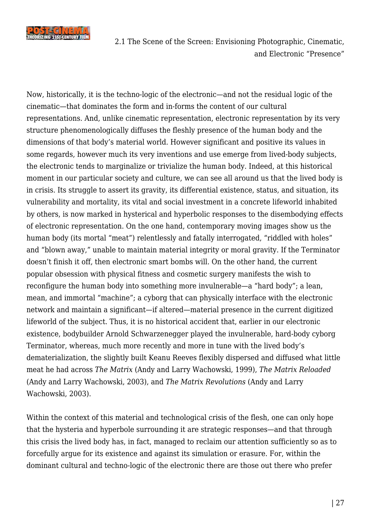

Now, historically, it is the techno-logic of the electronic—and not the residual logic of the cinematic—that dominates the form and in-forms the content of our cultural representations. And, unlike cinematic representation, electronic representation by its very structure phenomenologically diffuses the fleshly presence of the human body and the dimensions of that body's material world. However significant and positive its values in some regards, however much its very inventions and use emerge from lived-body subjects, the electronic tends to marginalize or trivialize the human body. Indeed, at this historical moment in our particular society and culture, we can see all around us that the lived body is in crisis. Its struggle to assert its gravity, its differential existence, status, and situation, its vulnerability and mortality, its vital and social investment in a concrete lifeworld inhabited by others, is now marked in hysterical and hyperbolic responses to the disembodying effects of electronic representation. On the one hand, contemporary moving images show us the human body (its mortal "meat") relentlessly and fatally interrogated, "riddled with holes" and "blown away," unable to maintain material integrity or moral gravity. If the Terminator doesn't finish it off, then electronic smart bombs will. On the other hand, the current popular obsession with physical fitness and cosmetic surgery manifests the wish to reconfigure the human body into something more invulnerable—a "hard body"; a lean, mean, and immortal "machine"; a cyborg that can physically interface with the electronic network and maintain a significant—if altered—material presence in the current digitized lifeworld of the subject. Thus, it is no historical accident that, earlier in our electronic existence, bodybuilder Arnold Schwarzenegger played the invulnerable, hard-body cyborg Terminator, whereas, much more recently and more in tune with the lived body's dematerialization, the slightly built Keanu Reeves flexibly dispersed and diffused what little meat he had across *The Matrix* (Andy and Larry Wachowski, 1999), *The Matrix Reloaded* (Andy and Larry Wachowski, 2003), and *The Matrix Revolutions* (Andy and Larry Wachowski, 2003).

Within the context of this material and technological crisis of the flesh, one can only hope that the hysteria and hyperbole surrounding it are strategic responses—and that through this crisis the lived body has, in fact, managed to reclaim our attention sufficiently so as to forcefully argue for its existence and against its simulation or erasure. For, within the dominant cultural and techno-logic of the electronic there are those out there who prefer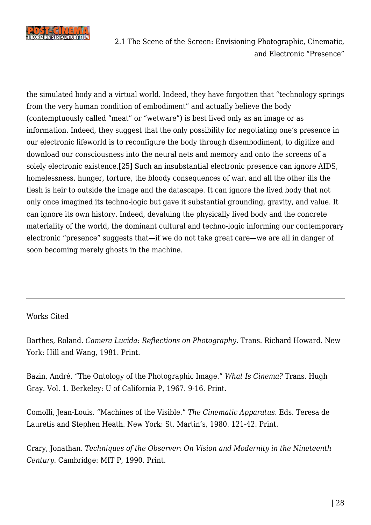

<span id="page-27-0"></span>the simulated body and a virtual world. Indeed, they have forgotten that "technology springs from the very human condition of embodiment" and actually believe the body (contemptuously called "meat" or "wetware") is best lived only as an image or as information. Indeed, they suggest that the only possibility for negotiating one's presence in our electronic lifeworld is to reconfigure the body through disembodiment, to digitize and download our consciousness into the neural nets and memory and onto the screens of a solely electronic existence.[\[25\]](#page-35-0) Such an insubstantial electronic presence can ignore AIDS, homelessness, hunger, torture, the bloody consequences of war, and all the other ills the flesh is heir to outside the image and the datascape. It can ignore the lived body that not only once imagined its techno-logic but gave it substantial grounding, gravity, and value. It can ignore its own history. Indeed, devaluing the physically lived body and the concrete materiality of the world, the dominant cultural and techno-logic informing our contemporary electronic "presence" suggests that—if we do not take great care—we are all in danger of soon becoming merely ghosts in the machine.

## Works Cited

Barthes, Roland. *Camera Lucida: Reflections on Photography*. Trans. Richard Howard. New York: Hill and Wang, 1981. Print.

Bazin, André. "The Ontology of the Photographic Image." *What Is Cinema?* Trans. Hugh Gray. Vol. 1. Berkeley: U of California P, 1967. 9-16. Print.

Comolli, Jean-Louis. "Machines of the Visible." *The Cinematic Apparatus*. Eds. Teresa de Lauretis and Stephen Heath. New York: St. Martin's, 1980. 121-42. Print.

Crary, Jonathan. *Techniques of the Observer: On Vision and Modernity in the Nineteenth Century*. Cambridge: MIT P, 1990. Print.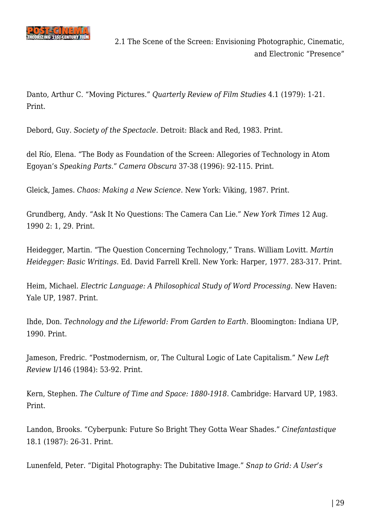

Danto, Arthur C. "Moving Pictures." *Quarterly Review of Film Studies* 4.1 (1979): 1-21. Print.

Debord, Guy. *Society of the Spectacle*. Detroit: Black and Red, 1983. Print.

del Río, Elena. "The Body as Foundation of the Screen: Allegories of Technology in Atom Egoyan's *Speaking Parts*." *Camera Obscura* 37-38 (1996): 92-115. Print.

Gleick, James. *Chaos: Making a New Science*. New York: Viking, 1987. Print.

Grundberg, Andy. "Ask It No Questions: The Camera Can Lie." *New York Times* 12 Aug. 1990 2: 1, 29. Print.

Heidegger, Martin. "The Question Concerning Technology," Trans. William Lovitt. *Martin Heidegger: Basic Writings*. Ed. David Farrell Krell. New York: Harper, 1977. 283-317. Print.

Heim, Michael. *Electric Language: A Philosophical Study of Word Processing*. New Haven: Yale UP, 1987. Print.

Ihde, Don. *Technology and the Lifeworld: From Garden to Earth*. Bloomington: Indiana UP, 1990. Print.

Jameson, Fredric. "Postmodernism, or, The Cultural Logic of Late Capitalism." *New Left Review* I/146 (1984): 53-92. Print.

Kern, Stephen. *The Culture of Time and Space: 1880-1918*. Cambridge: Harvard UP, 1983. Print.

Landon, Brooks. "Cyberpunk: Future So Bright They Gotta Wear Shades." *Cinefantastique* 18.1 (1987): 26-31. Print.

Lunenfeld, Peter. "Digital Photography: The Dubitative Image." *Snap to Grid: A User's*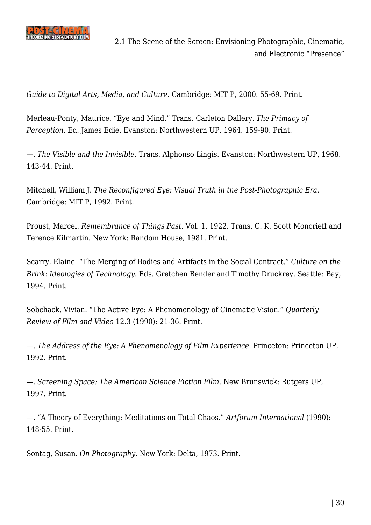

*Guide to Digital Arts, Media, and Culture*. Cambridge: MIT P, 2000. 55-69. Print.

Merleau-Ponty, Maurice. "Eye and Mind." Trans. Carleton Dallery. *The Primacy of Perception*. Ed. James Edie. Evanston: Northwestern UP, 1964. 159-90. Print.

—. *The Visible and the Invisible*. Trans. Alphonso Lingis. Evanston: Northwestern UP, 1968. 143-44. Print.

Mitchell, William J. *The Reconfigured Eye: Visual Truth in the Post-Photographic Era*. Cambridge: MIT P, 1992. Print.

Proust, Marcel. *Remembrance of Things Past*. Vol. 1. 1922. Trans. C. K. Scott Moncrieff and Terence Kilmartin. New York: Random House, 1981. Print.

Scarry, Elaine. "The Merging of Bodies and Artifacts in the Social Contract." *Culture on the Brink: Ideologies of Technology*. Eds. Gretchen Bender and Timothy Druckrey. Seattle: Bay, 1994. Print.

Sobchack, Vivian. "The Active Eye: A Phenomenology of Cinematic Vision." *Quarterly Review of Film and Video* 12.3 (1990): 21-36. Print.

—. *The Address of the Eye: A Phenomenology of Film Experience.* Princeton: Princeton UP, 1992. Print.

*—. Screening Space: The American Science Fiction Film*. New Brunswick: Rutgers UP, 1997. Print.

—. "A Theory of Everything: Meditations on Total Chaos." *Artforum International* (1990): 148-55. Print.

Sontag, Susan. *On Photography*. New York: Delta, 1973. Print.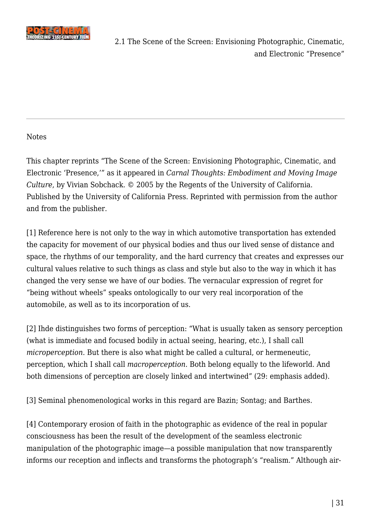

## Notes

This chapter reprints "The Scene of the Screen: Envisioning Photographic, Cinematic, and Electronic 'Presence,'" as it appeared in *Carnal Thoughts: Embodiment and Moving Image Culture*, by Vivian Sobchack. © 2005 by the Regents of the University of California. Published by the University of California Press. Reprinted with permission from the author and from the publisher.

<span id="page-30-0"></span>[\[1\]](#page-3-0) Reference here is not only to the way in which automotive transportation has extended the capacity for movement of our physical bodies and thus our lived sense of distance and space, the rhythms of our temporality, and the hard currency that creates and expresses our cultural values relative to such things as class and style but also to the way in which it has changed the very sense we have of our bodies. The vernacular expression of regret for "being without wheels" speaks ontologically to our very real incorporation of the automobile, as well as to its incorporation of us.

<span id="page-30-1"></span>[\[2\]](#page-3-1) Ihde distinguishes two forms of perception: "What is usually taken as sensory perception (what is immediate and focused bodily in actual seeing, hearing, etc.), I shall call *microperception*. But there is also what might be called a cultural, or hermeneutic, perception, which I shall call *macroperception*. Both belong equally to the lifeworld. And both dimensions of perception are closely linked and intertwined" (29: emphasis added).

<span id="page-30-2"></span>[\[3\]](#page-6-0) Seminal phenomenological works in this regard are Bazin; Sontag; and Barthes.

<span id="page-30-3"></span>[\[4\]](#page-7-0) Contemporary erosion of faith in the photographic as evidence of the real in popular consciousness has been the result of the development of the seamless electronic manipulation of the photographic image—a possible manipulation that now transparently informs our reception and inflects and transforms the photograph's "realism." Although air-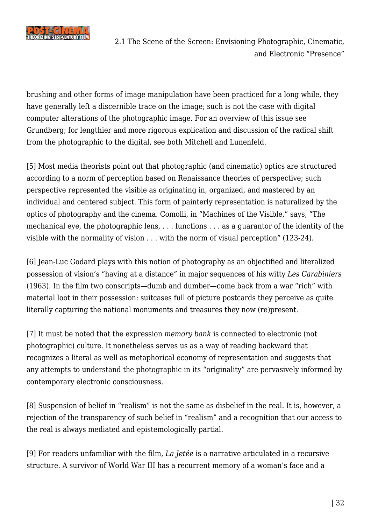

brushing and other forms of image manipulation have been practiced for a long while, they have generally left a discernible trace on the image; such is not the case with digital computer alterations of the photographic image. For an overview of this issue see Grundberg; for lengthier and more rigorous explication and discussion of the radical shift from the photographic to the digital, see both Mitchell and Lunenfeld.

<span id="page-31-0"></span>[\[5\]](#page-7-1) Most media theorists point out that photographic (and cinematic) optics are structured according to a norm of perception based on Renaissance theories of perspective; such perspective represented the visible as originating in, organized, and mastered by an individual and centered subject. This form of painterly representation is naturalized by the optics of photography and the cinema. Comolli, in "Machines of the Visible," says, "The mechanical eye, the photographic lens, . . . functions . . . as a guarantor of the identity of the visible with the normality of vision . . . with the norm of visual perception" (123-24).

<span id="page-31-1"></span>[\[6\]](#page-8-0) Jean-Luc Godard plays with this notion of photography as an objectified and literalized possession of vision's "having at a distance" in major sequences of his witty *Les Carabiniers* (1963). In the film two conscripts—dumb and dumber—come back from a war "rich" with material loot in their possession: suitcases full of picture postcards they perceive as quite literally capturing the national monuments and treasures they now (re)present.

<span id="page-31-2"></span>[\[7\]](#page-8-1) It must be noted that the expression *memory bank* is connected to electronic (not photographic) culture. It nonetheless serves us as a way of reading backward that recognizes a literal as well as metaphorical economy of representation and suggests that any attempts to understand the photographic in its "originality" are pervasively informed by contemporary electronic consciousness.

<span id="page-31-3"></span>[\[8\]](#page-8-2) Suspension of belief in "realism" is not the same as disbelief in the real. It is, however, a rejection of the transparency of such belief in "realism" and a recognition that our access to the real is always mediated and epistemologically partial.

<span id="page-31-4"></span>[\[9\]](#page-10-0) For readers unfamiliar with the film, *La Jetée* is a narrative articulated in a recursive structure. A survivor of World War III has a recurrent memory of a woman's face and a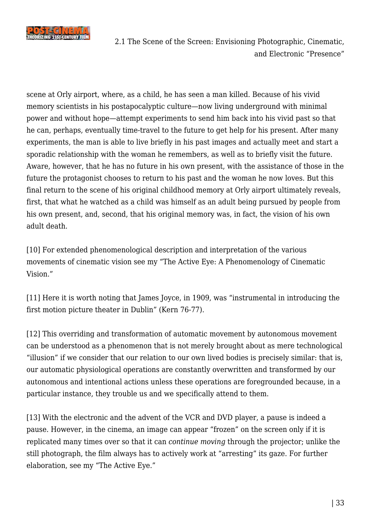

scene at Orly airport, where, as a child, he has seen a man killed. Because of his vivid memory scientists in his postapocalyptic culture—now living underground with minimal power and without hope—attempt experiments to send him back into his vivid past so that he can, perhaps, eventually time-travel to the future to get help for his present. After many experiments, the man is able to live briefly in his past images and actually meet and start a sporadic relationship with the woman he remembers, as well as to briefly visit the future. Aware, however, that he has no future in his own present, with the assistance of those in the future the protagonist chooses to return to his past and the woman he now loves. But this final return to the scene of his original childhood memory at Orly airport ultimately reveals, first, that what he watched as a child was himself as an adult being pursued by people from his own present, and, second, that his original memory was, in fact, the vision of his own adult death.

<span id="page-32-0"></span>[\[10\]](#page-11-0) For extended phenomenological description and interpretation of the various movements of cinematic vision see my "The Active Eye: A Phenomenology of Cinematic Vision."

<span id="page-32-1"></span>[\[11\]](#page-12-0) Here it is worth noting that James Joyce, in 1909, was "instrumental in introducing the first motion picture theater in Dublin" (Kern 76-77).

<span id="page-32-2"></span>[\[12\]](#page-12-1) This overriding and transformation of automatic movement by autonomous movement can be understood as a phenomenon that is not merely brought about as mere technological "illusion" if we consider that our relation to our own lived bodies is precisely similar: that is, our automatic physiological operations are constantly overwritten and transformed by our autonomous and intentional actions unless these operations are foregrounded because, in a particular instance, they trouble us and we specifically attend to them.

<span id="page-32-4"></span><span id="page-32-3"></span>[\[13\]](#page-13-0) With the electronic and the advent of the VCR and DVD player, a pause is indeed a pause. However, in the cinema, an image can appear "frozen" on the screen only if it is replicated many times over so that it can *continue moving* through the projector; unlike the still photograph, the film always has to actively work at "arresting" its gaze. For further elaboration, see my "The Active Eye."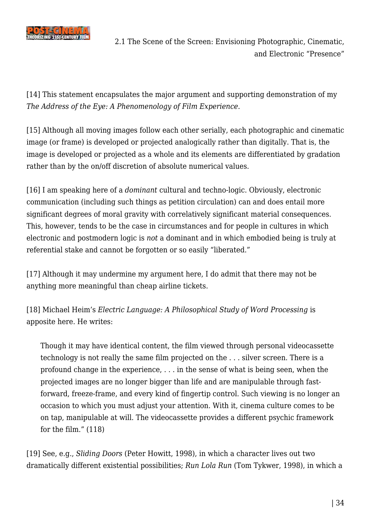

[\[14\]](#page-14-0) This statement encapsulates the major argument and supporting demonstration of my *The Address of the Eye: A Phenomenology of Film Experience*.

<span id="page-33-0"></span>[\[15\]](#page-18-0) Although all moving images follow each other serially, each photographic and cinematic image (or frame) is developed or projected analogically rather than digitally. That is, the image is developed or projected as a whole and its elements are differentiated by gradation rather than by the on/off discretion of absolute numerical values.

<span id="page-33-1"></span>[\[16\]](#page-20-0) I am speaking here of a *dominant* cultural and techno-logic. Obviously, electronic communication (including such things as petition circulation) can and does entail more significant degrees of moral gravity with correlatively significant material consequences. This, however, tends to be the case in circumstances and for people in cultures in which electronic and postmodern logic is *not* a dominant and in which embodied being is truly at referential stake and cannot be forgotten or so easily "liberated."

<span id="page-33-2"></span>[\[17\]](#page-20-1) Although it may undermine my argument here, I do admit that there may not be anything more meaningful than cheap airline tickets.

<span id="page-33-3"></span>[\[18\]](#page-20-2) Michael Heim's *Electric Language: A Philosophical Study of Word Processing* is apposite here. He writes:

Though it may have identical content, the film viewed through personal videocassette technology is not really the same film projected on the . . . silver screen. There is a profound change in the experience, . . . in the sense of what is being seen, when the projected images are no longer bigger than life and are manipulable through fastforward, freeze-frame, and every kind of fingertip control. Such viewing is no longer an occasion to which you must adjust your attention. With it, cinema culture comes to be on tap, manipulable at will. The videocassette provides a different psychic framework for the film." (118)

<span id="page-33-4"></span>[\[19\]](#page-20-3) See, e.g., *Sliding Doors* (Peter Howitt, 1998), in which a character lives out two dramatically different existential possibilities; *Run Lola Run* (Tom Tykwer, 1998), in which a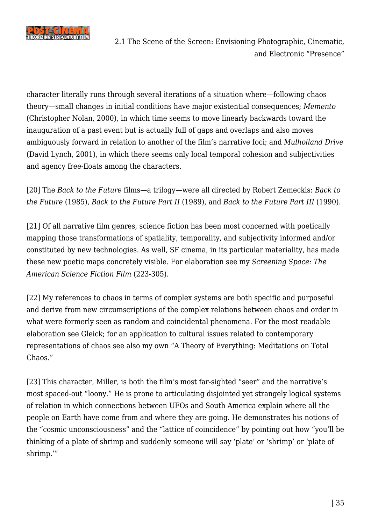

character literally runs through several iterations of a situation where—following chaos theory—small changes in initial conditions have major existential consequences; *Memento* (Christopher Nolan, 2000), in which time seems to move linearly backwards toward the inauguration of a past event but is actually full of gaps and overlaps and also moves ambiguously forward in relation to another of the film's narrative foci; and *Mulholland Drive* (David Lynch, 2001), in which there seems only local temporal cohesion and subjectivities and agency free-floats among the characters.

<span id="page-34-0"></span>[\[20\]](#page-22-0) The *Back to the Future* films—a trilogy—were all directed by Robert Zemeckis: *Back to the Future* (1985), *Back to the Future Part II* (1989), and *Back to the Future Part III* (1990).

<span id="page-34-1"></span>[\[21\]](#page-22-1) Of all narrative film genres, science fiction has been most concerned with poetically mapping those transformations of spatiality, temporality, and subjectivity informed and/or constituted by new technologies. As well, SF cinema, in its particular materiality, has made these new poetic maps concretely visible. For elaboration see my *Screening Space: The American Science Fiction Film* (223-305).

<span id="page-34-2"></span>[\[22\]](#page-22-2) My references to chaos in terms of complex systems are both specific and purposeful and derive from new circumscriptions of the complex relations between chaos and order in what were formerly seen as random and coincidental phenomena. For the most readable elaboration see Gleick; for an application to cultural issues related to contemporary representations of chaos see also my own "A Theory of Everything: Meditations on Total Chaos."

<span id="page-34-4"></span><span id="page-34-3"></span>[\[23\]](#page-22-3) This character, Miller, is both the film's most far-sighted "seer" and the narrative's most spaced-out "loony." He is prone to articulating disjointed yet strangely logical systems of relation in which connections between UFOs and South America explain where all the people on Earth have come from and where they are going. He demonstrates his notions of the "cosmic unconsciousness" and the "lattice of coincidence" by pointing out how "you'll be thinking of a plate of shrimp and suddenly someone will say 'plate' or 'shrimp' or 'plate of shrimp.'"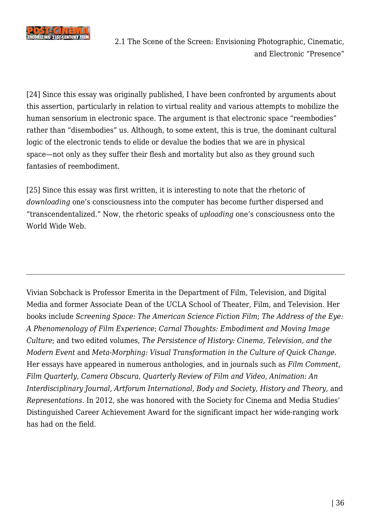

[\[24\]](#page-23-0) Since this essay was originally published, I have been confronted by arguments about this assertion, particularly in relation to virtual reality and various attempts to mobilize the human sensorium in electronic space. The argument is that electronic space "reembodies" rather than "disembodies" us. Although, to some extent, this is true, the dominant cultural logic of the electronic tends to elide or devalue the bodies that we are in physical space—not only as they suffer their flesh and mortality but also as they ground such fantasies of reembodiment.

<span id="page-35-0"></span>[\[25\]](#page-27-0) Since this essay was first written, it is interesting to note that the rhetoric of *downloading* one's consciousness into the computer has become further dispersed and "transcendentalized." Now, the rhetoric speaks of *uploading* one's consciousness onto the World Wide Web.

Vivian Sobchack is Professor Emerita in the Department of Film, Television, and Digital Media and former Associate Dean of the UCLA School of Theater, Film, and Television. Her books include *Screening Space: The American Science Fiction Film*; *The Address of the Eye: A Phenomenology of Film Experience*; *Carnal Thoughts: Embodiment and Moving Image Culture*; and two edited volumes, *The Persistence of History: Cinema, Television, and the Modern Event* and *Meta-Morphing: Visual Transformation in the Culture of Quick Change*. Her essays have appeared in numerous anthologies, and in journals such as *Film Comment*, *Film Quarterly*, *Camera Obscura*, *Quarterly Review of Film and Video*, *Animation: An Interdisciplinary Journal*, *Artforum International*, *Body and Society*, *History and Theory*, and *Representations*. In 2012, she was honored with the Society for Cinema and Media Studies' Distinguished Career Achievement Award for the significant impact her wide-ranging work has had on the field.